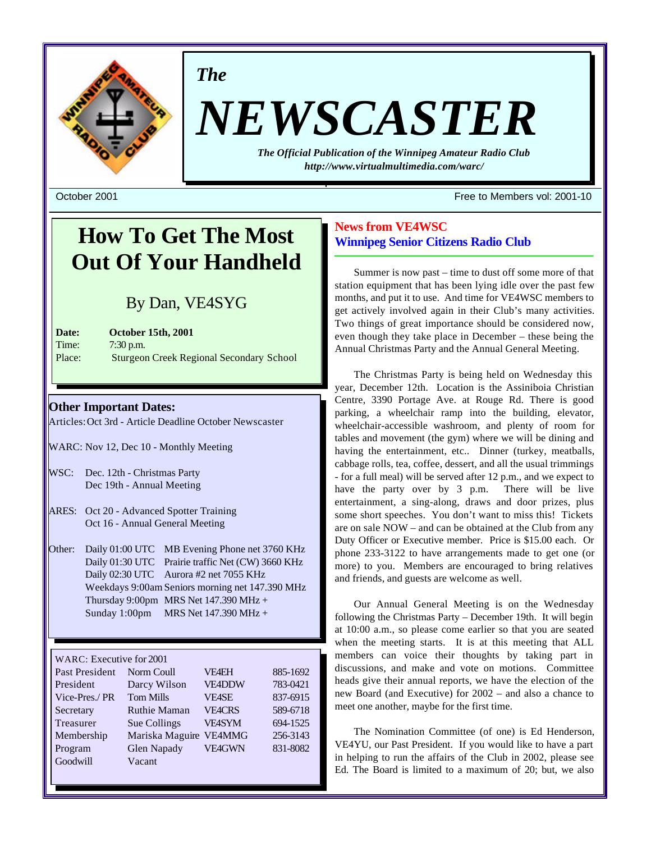

*The*

# *NEWSCASTER*

*The Official Publication of the Winnipeg Amateur Radio Club http://www.virtualmultimedia.com/warc/*

October 2001 Free to Members vol: 2001-10

# **How To Get The Most Out Of Your Handheld**

# By Dan, VE4SYG

**Date: October 15th, 2001** Time: 7:30 p.m. Place: Sturgeon Creek Regional Secondary School

# **Other Important Dates:**

Articles: Oct 3rd - Article Deadline October Newscaster

- WARC: Nov 12, Dec 10 Monthly Meeting
- WSC: Dec. 12th Christmas Party Dec 19th - Annual Meeting
- ARES: Oct 20 Advanced Spotter Training Oct 16 - Annual General Meeting
- Other: Daily 01:00 UTC MB Evening Phone net 3760 KHz Daily 01:30 UTC Prairie traffic Net (CW) 3660 KHz Daily 02:30 UTC Aurora #2 net 7055 KHz Weekdays 9:00am Seniors morning net 147.390 MHz Thursday 9:00pm MRS Net  $147.390$  MHz + Sunday 1:00pm MRS Net 147.390 MHz +

## WARC: Executive for 2001

| Past President | Norm Coull          | <b>VF4EH</b>  | 885-1692 |
|----------------|---------------------|---------------|----------|
| President      | Darcy Wilson        | <b>VE4DDW</b> | 783-0421 |
| Vice-Pres./PR  | <b>Tom Mills</b>    | <b>VE4SE</b>  | 837-6915 |
| Secretary      | <b>Ruthie Maman</b> | <b>VE4CRS</b> | 589-6718 |
| Treasurer      | Sue Collings        | <b>VEASYM</b> | 694-1525 |
| Membership     | Mariska Maguire     | VE4MMG        | 256-3143 |
| Program        | Glen Napady         | <b>VE4GWN</b> | 831-8082 |
| Goodwill       | Vacant              |               |          |

# **News from VE4WSC Winnipeg Senior Citizens Radio Club**

Summer is now past – time to dust off some more of that station equipment that has been lying idle over the past few months, and put it to use. And time for VE4WSC members to get actively involved again in their Club's many activities. Two things of great importance should be considered now, even though they take place in December – these being the Annual Christmas Party and the Annual General Meeting.

The Christmas Party is being held on Wednesday this year, December 12th. Location is the Assiniboia Christian Centre, 3390 Portage Ave. at Rouge Rd. There is good parking, a wheelchair ramp into the building, elevator, wheelchair-accessible washroom, and plenty of room for tables and movement (the gym) where we will be dining and having the entertainment, etc.. Dinner (turkey, meatballs, cabbage rolls, tea, coffee, dessert, and all the usual trimmings - for a full meal) will be served after 12 p.m., and we expect to have the party over by 3 p.m. There will be live entertainment, a sing-along, draws and door prizes, plus some short speeches. You don't want to miss this! Tickets are on sale NOW – and can be obtained at the Club from any Duty Officer or Executive member. Price is \$15.00 each. Or phone 233-3122 to have arrangements made to get one (or more) to you. Members are encouraged to bring relatives and friends, and guests are welcome as well.

Our Annual General Meeting is on the Wednesday following the Christmas Party – December 19th. It will begin at 10:00 a.m., so please come earlier so that you are seated when the meeting starts. It is at this meeting that ALL members can voice their thoughts by taking part in discussions, and make and vote on motions. Committee heads give their annual reports, we have the election of the new Board (and Executive) for 2002 – and also a chance to meet one another, maybe for the first time.

The Nomination Committee (of one) is Ed Henderson, VE4YU, our Past President. If you would like to have a part in helping to run the affairs of the Club in 2002, please see Ed. The Board is limited to a maximum of 20; but, we also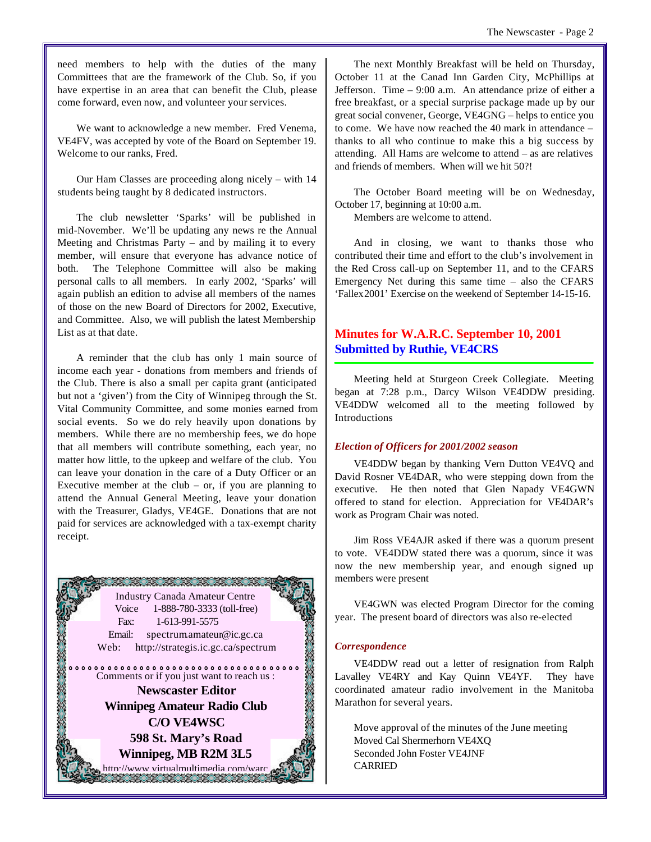We want to acknowledge a new member. Fred Venema, VE4FV, was accepted by vote of the Board on September 19. Welcome to our ranks, Fred.

Our Ham Classes are proceeding along nicely – with 14 students being taught by 8 dedicated instructors.

The club newsletter 'Sparks' will be published in mid-November. We'll be updating any news re the Annual Meeting and Christmas Party – and by mailing it to every member, will ensure that everyone has advance notice of both. The Telephone Committee will also be making personal calls to all members. In early 2002, 'Sparks' will again publish an edition to advise all members of the names of those on the new Board of Directors for 2002, Executive, and Committee. Also, we will publish the latest Membership List as at that date.

A reminder that the club has only 1 main source of income each year - donations from members and friends of the Club. There is also a small per capita grant (anticipated but not a 'given') from the City of Winnipeg through the St. Vital Community Committee, and some monies earned from social events. So we do rely heavily upon donations by members. While there are no membership fees, we do hope that all members will contribute something, each year, no matter how little, to the upkeep and welfare of the club. You can leave your donation in the care of a Duty Officer or an Executive member at the club – or, if you are planning to attend the Annual General Meeting, leave your donation with the Treasurer, Gladys, VE4GE. Donations that are not paid for services are acknowledged with a tax-exempt charity receipt.

an an an an an an an an an Industry Canada Amateur Centre Voice 1-888-780-3333 (toll-free) Fax: 1-613-991-5575 Email: spectrum.amateur@ic.gc.ca Web: http://strategis.ic.gc.ca/spectrum **BOOKS** Comments or if you just want to reach us : **Newscaster Editor Winnipeg Amateur Radio Club C/O VE4WSC 598 St. Mary's Road Winnipeg, MB R2M 3L5** http://www.virtualmultimedia.com/warc<br>2002: 2003: 2003: 2003: 2003: 2003: 2004<br>2005: 2006: 2006: 2006: 2006: 2007: 2006: 2007: 2008: 2008: 2008: 2009: 2009: 2009: 2009: 2009: 2009: 2009: 2

The next Monthly Breakfast will be held on Thursday, October 11 at the Canad Inn Garden City, McPhillips at Jefferson. Time – 9:00 a.m. An attendance prize of either a free breakfast, or a special surprise package made up by our great social convener, George, VE4GNG – helps to entice you to come. We have now reached the 40 mark in attendance – thanks to all who continue to make this a big success by attending. All Hams are welcome to attend – as are relatives and friends of members. When will we hit 50?!

The October Board meeting will be on Wednesday, October 17, beginning at 10:00 a.m.

Members are welcome to attend.

And in closing, we want to thanks those who contributed their time and effort to the club's involvement in the Red Cross call-up on September 11, and to the CFARS Emergency Net during this same time – also the CFARS 'Fallex 2001' Exercise on the weekend of September 14-15-16.

# **Minutes for W.A.R.C. September 10, 2001 Submitted by Ruthie, VE4CRS**

Meeting held at Sturgeon Creek Collegiate. Meeting began at 7:28 p.m., Darcy Wilson VE4DDW presiding. VE4DDW welcomed all to the meeting followed by Introductions

### *Election of Officers for 2001/2002 season*

VE4DDW began by thanking Vern Dutton VE4VQ and David Rosner VE4DAR, who were stepping down from the executive. He then noted that Glen Napady VE4GWN offered to stand for election. Appreciation for VE4DAR's work as Program Chair was noted.

Jim Ross VE4AJR asked if there was a quorum present to vote. VE4DDW stated there was a quorum, since it was now the new membership year, and enough signed up members were present

VE4GWN was elected Program Director for the coming year. The present board of directors was also re-elected

### *Correspondence*

VE4DDW read out a letter of resignation from Ralph Lavalley VE4RY and Kay Quinn VE4YF. They have coordinated amateur radio involvement in the Manitoba Marathon for several years.

Move approval of the minutes of the June meeting Moved Cal Shermerhorn VE4XQ Seconded John Foster VE4JNF **CARRIED**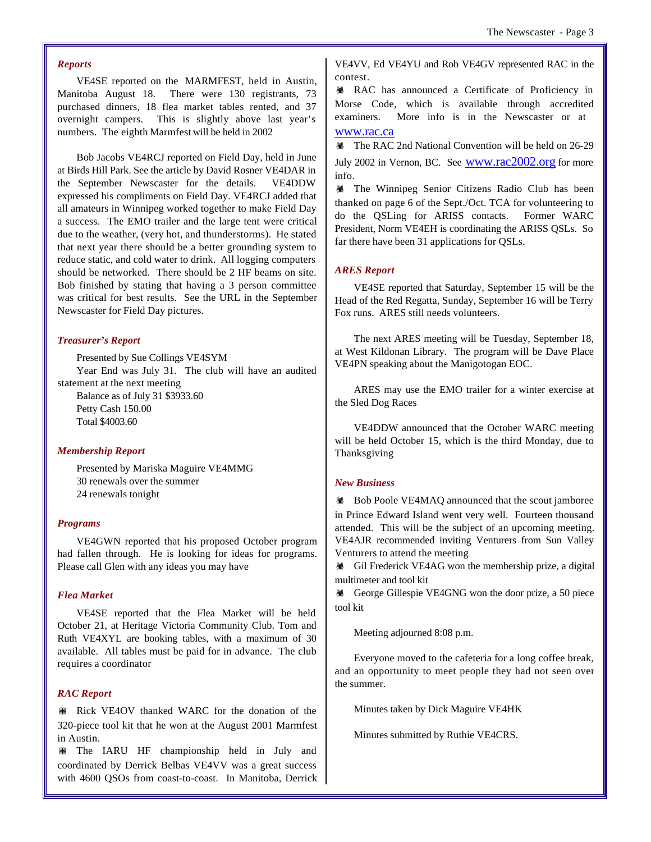#### *Reports*

VE4SE reported on the MARMFEST, held in Austin, Manitoba August 18. There were 130 registrants, 73 purchased dinners, 18 flea market tables rented, and 37 overnight campers. This is slightly above last year's numbers. The eighth Marmfest will be held in 2002

Bob Jacobs VE4RCJ reported on Field Day, held in June at Birds Hill Park. See the article by David Rosner VE4DAR in the September Newscaster for the details. VE4DDW expressed his compliments on Field Day. VE4RCJ added that all amateurs in Winnipeg worked together to make Field Day a success. The EMO trailer and the large tent were critical due to the weather, (very hot, and thunderstorms). He stated that next year there should be a better grounding system to reduce static, and cold water to drink. All logging computers should be networked. There should be 2 HF beams on site. Bob finished by stating that having a 3 person committee was critical for best results. See the URL in the September Newscaster for Field Day pictures.

#### *Treasurer's Report*

Presented by Sue Collings VE4SYM Year End was July 31. The club will have an audited statement at the next meeting Balance as of July 31 \$3933.60 Petty Cash 150.00 Total \$4003.60

#### *Membership Report*

Presented by Mariska Maguire VE4MMG 30 renewals over the summer 24 renewals tonight

#### *Programs*

VE4GWN reported that his proposed October program had fallen through. He is looking for ideas for programs. Please call Glen with any ideas you may have

#### *Flea Market*

VE4SE reported that the Flea Market will be held October 21, at Heritage Victoria Community Club. Tom and Ruth VE4XYL are booking tables, with a maximum of 30 available. All tables must be paid for in advance. The club requires a coordinator

### *RAC Report*

**WEIGHTHANK IN RIGHTHANK** WARC for the donation of the 320-piece tool kit that he won at the August 2001 Marmfest in Austin.

! The IARU HF championship held in July and coordinated by Derrick Belbas VE4VV was a great success with 4600 QSOs from coast-to-coast. In Manitoba, Derrick

VE4VV, Ed VE4YU and Rob VE4GV represented RAC in the contest.

**WE RAC** has announced a Certificate of Proficiency in Morse Code, which is available through accredited examiners. More info is in the Newscaster or at www.rac.ca

**\\ \\ The RAC 2nd National Convention will be held on 26-29** 

July 2002 in Vernon, BC. See www.rac2002.org for more info.

! The Winnipeg Senior Citizens Radio Club has been thanked on page 6 of the Sept./Oct. TCA for volunteering to do the QSLing for ARISS contacts. Former WARC President, Norm VE4EH is coordinating the ARISS QSLs. So far there have been 31 applications for QSLs.

#### *ARES Report*

VE4SE reported that Saturday, September 15 will be the Head of the Red Regatta, Sunday, September 16 will be Terry Fox runs. ARES still needs volunteers.

The next ARES meeting will be Tuesday, September 18, at West Kildonan Library. The program will be Dave Place VE4PN speaking about the Manigotogan EOC.

ARES may use the EMO trailer for a winter exercise at the Sled Dog Races

VE4DDW announced that the October WARC meeting will be held October 15, which is the third Monday, due to Thanksgiving

#### *New Business*

**#Bob Poole VE4MAQ announced that the scout jamboree** in Prince Edward Island went very well. Fourteen thousand attended. This will be the subject of an upcoming meeting. VE4AJR recommended inviting Venturers from Sun Valley Venturers to attend the meeting

! Gil Frederick VE4AG won the membership prize, a digital multimeter and tool kit

**\eff{\mathbf{\mathbf{\mathbf{\mathbf{\mathbf{\mathbf{\mathbf{\mathbf{\mathbf{\mathbf{\mathbf{\mathbf{\mathbf{\mathbf{\mathbf{\mathbf{\mathbf{\mathbf{\mathbf{\mathbf{\mathbf{\mathbf{\mathbf{\mathbf{\mathbf{\mathbf{\mathbf{** tool kit

Meeting adjourned 8:08 p.m.

Everyone moved to the cafeteria for a long coffee break, and an opportunity to meet people they had not seen over the summer.

Minutes taken by Dick Maguire VE4HK

Minutes submitted by Ruthie VE4CRS.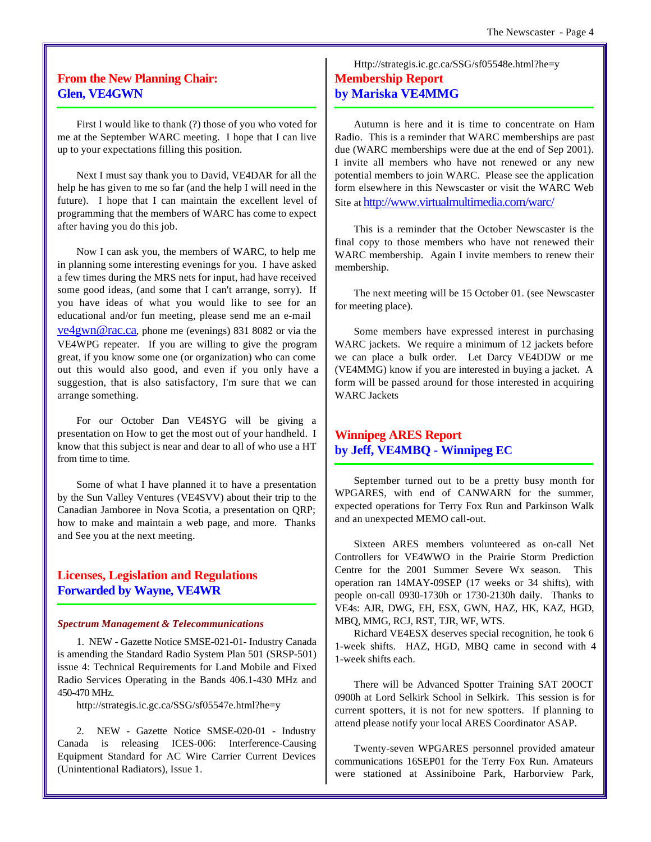# **From the New Planning Chair: Glen, VE4GWN**

First I would like to thank (?) those of you who voted for me at the September WARC meeting. I hope that I can live up to your expectations filling this position.

Next I must say thank you to David, VE4DAR for all the help he has given to me so far (and the help I will need in the future). I hope that I can maintain the excellent level of programming that the members of WARC has come to expect after having you do this job.

Now I can ask you, the members of WARC, to help me in planning some interesting evenings for you. I have asked a few times during the MRS nets for input, had have received some good ideas, (and some that I can't arrange, sorry). If you have ideas of what you would like to see for an educational and/or fun meeting, please send me an e-mail ve4gwn@rac.ca, phone me (evenings) 831 8082 or via the VE4WPG repeater. If you are willing to give the program great, if you know some one (or organization) who can come out this would also good, and even if you only have a suggestion, that is also satisfactory, I'm sure that we can arrange something.

For our October Dan VE4SYG will be giving a presentation on How to get the most out of your handheld. I know that this subject is near and dear to all of who use a HT from time to time.

Some of what I have planned it to have a presentation by the Sun Valley Ventures (VE4SVV) about their trip to the Canadian Jamboree in Nova Scotia, a presentation on QRP; how to make and maintain a web page, and more. Thanks and See you at the next meeting.

# **Licenses, Legislation and Regulations Forwarded by Wayne, VE4WR**

#### *Spectrum Management & Telecommunications*

1. NEW - Gazette Notice SMSE-021-01- Industry Canada is amending the Standard Radio System Plan 501 (SRSP-501) issue 4: Technical Requirements for Land Mobile and Fixed Radio Services Operating in the Bands 406.1-430 MHz and 450-470 MHz.

http://strategis.ic.gc.ca/SSG/sf05547e.html?he=y

2. NEW - Gazette Notice SMSE-020-01 - Industry Canada is releasing ICES-006: Interference-Causing Equipment Standard for AC Wire Carrier Current Devices (Unintentional Radiators), Issue 1.

# Http://strategis.ic.gc.ca/SSG/sf05548e.html?he=y **Membership Report by Mariska VE4MMG**

Autumn is here and it is time to concentrate on Ham Radio. This is a reminder that WARC memberships are past due (WARC memberships were due at the end of Sep 2001). I invite all members who have not renewed or any new potential members to join WARC. Please see the application form elsewhere in this Newscaster or visit the WARC Web Site at http://www.virtualmultimedia.com/warc/

This is a reminder that the October Newscaster is the final copy to those members who have not renewed their WARC membership. Again I invite members to renew their membership.

The next meeting will be 15 October 01. (see Newscaster for meeting place).

Some members have expressed interest in purchasing WARC jackets. We require a minimum of 12 jackets before we can place a bulk order. Let Darcy VE4DDW or me (VE4MMG) know if you are interested in buying a jacket. A form will be passed around for those interested in acquiring WARC Jackets

# **Winnipeg ARES Report by Jeff, VE4MBQ - Winnipeg EC**

September turned out to be a pretty busy month for WPGARES, with end of CANWARN for the summer, expected operations for Terry Fox Run and Parkinson Walk and an unexpected MEMO call-out.

Sixteen ARES members volunteered as on-call Net Controllers for VE4WWO in the Prairie Storm Prediction Centre for the 2001 Summer Severe Wx season. This operation ran 14MAY-09SEP (17 weeks or 34 shifts), with people on-call 0930-1730h or 1730-2130h daily. Thanks to VE4s: AJR, DWG, EH, ESX, GWN, HAZ, HK, KAZ, HGD, MBQ, MMG, RCJ, RST, TJR, WF, WTS.

Richard VE4ESX deserves special recognition, he took 6 1-week shifts. HAZ, HGD, MBQ came in second with 4 1-week shifts each.

There will be Advanced Spotter Training SAT 20OCT 0900h at Lord Selkirk School in Selkirk. This session is for current spotters, it is not for new spotters. If planning to attend please notify your local ARES Coordinator ASAP.

Twenty-seven WPGARES personnel provided amateur communications 16SEP01 for the Terry Fox Run. Amateurs were stationed at Assiniboine Park, Harborview Park,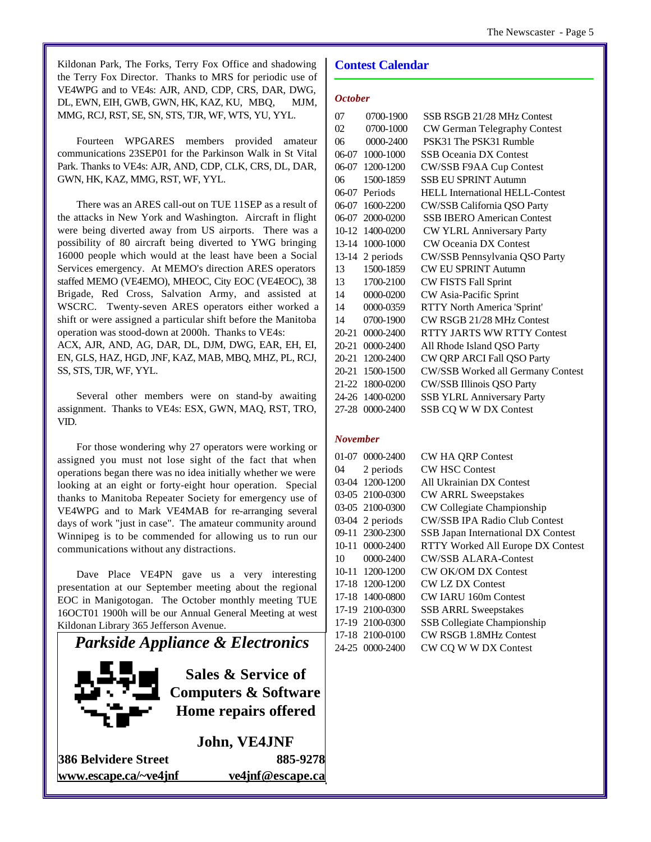Kildonan Park, The Forks, Terry Fox Office and shadowing the Terry Fox Director. Thanks to MRS for periodic use of VE4WPG and to VE4s: AJR, AND, CDP, CRS, DAR, DWG, DL, EWN, EIH, GWB, GWN, HK, KAZ, KU, MBQ, MJM, MMG, RCJ, RST, SE, SN, STS, TJR, WF, WTS, YU, YYL.

Fourteen WPGARES members provided amateur communications 23SEP01 for the Parkinson Walk in St Vital Park. Thanks to VE4s: AJR, AND, CDP, CLK, CRS, DL, DAR, GWN, HK, KAZ, MMG, RST, WF, YYL.

There was an ARES call-out on TUE 11SEP as a result of the attacks in New York and Washington. Aircraft in flight were being diverted away from US airports. There was a possibility of 80 aircraft being diverted to YWG bringing 16000 people which would at the least have been a Social Services emergency. At MEMO's direction ARES operators staffed MEMO (VE4EMO), MHEOC, City EOC (VE4EOC), 38 Brigade, Red Cross, Salvation Army, and assisted at WSCRC. Twenty-seven ARES operators either worked a shift or were assigned a particular shift before the Manitoba operation was stood-down at 2000h. Thanks to VE4s: ACX, AJR, AND, AG, DAR, DL, DJM, DWG, EAR, EH, EI, EN, GLS, HAZ, HGD, JNF, KAZ, MAB, MBQ, MHZ, PL, RCJ,

SS, STS, TJR, WF, YYL.

Several other members were on stand-by awaiting assignment. Thanks to VE4s: ESX, GWN, MAQ, RST, TRO, VID.

For those wondering why 27 operators were working or assigned you must not lose sight of the fact that when operations began there was no idea initially whether we were looking at an eight or forty-eight hour operation. Special thanks to Manitoba Repeater Society for emergency use of VE4WPG and to Mark VE4MAB for re-arranging several days of work "just in case". The amateur community around Winnipeg is to be commended for allowing us to run our communications without any distractions.

Dave Place VE4PN gave us a very interesting presentation at our September meeting about the regional EOC in Manigotogan. The October monthly meeting TUE 16OCT01 1900h will be our Annual General Meeting at west Kildonan Library 365 Jefferson Avenue.



## **Contest Calendar**

#### *October*

| 07        | 0700-1900       | SSB RSGB 21/28 MHz Contest        |
|-----------|-----------------|-----------------------------------|
| $\Omega$  | 0700-1000       | CW German Telegraphy Contest      |
| 06        | $0000 - 2400$   | PSK31 The PSK31 Rumble            |
|           | 06-07 1000-1000 | <b>SSB Oceania DX Contest</b>     |
|           | 06-07 1200-1200 | CW/SSB F9AA Cup Contest           |
| 06        | 1500-1859       | <b>SSB EU SPRINT Autumn</b>       |
|           | 06-07 Periods   | HELL International HELL-Contest   |
| 06-07     | 1600-2200       | CW/SSB California QSO Party       |
| 06-07     | 2000-0200       | <b>SSB IBERO American Contest</b> |
|           | 10-12 1400-0200 | CW YLRL Anniversary Party         |
|           | 13-14 1000-1000 | <b>CW Oceania DX Contest</b>      |
| $13 - 14$ | 2 periods       | CW/SSB Pennsylvania QSO Party     |
| 13        | 1500-1859       | <b>CW EU SPRINT Autumn</b>        |
| 13        | 1700-2100       | <b>CW FISTS Fall Sprint</b>       |
| 14        | 0000-0200       | CW Asia-Pacific Sprint            |
| 14        | 0000-0359       | RTTY North America 'Sprint'       |
| 14        | 0700-1900       | CW RSGB 21/28 MHz Contest         |
| 20-21     | 0000-2400       | <b>RTTY JARTS WW RTTY Contest</b> |
| $20 - 21$ | 0000-2400       | All Rhode Island QSO Party        |
| $20 - 21$ | 1200-2400       | CW QRP ARCI Fall QSO Party        |
| $20 - 21$ | 1500-1500       | CW/SSB Worked all Germany Contest |
|           | 21-22 1800-0200 | CW/SSB Illinois QSO Party         |
|           | 24-26 1400-0200 | <b>SSB YLRL Anniversary Party</b> |
| 27-28     | $0000 - 2400$   | SSB CQ W W DX Contest             |
|           |                 |                                   |

### *November*

|    | 01-07 0000-2400   | <b>CW HA QRP Contest</b>             |
|----|-------------------|--------------------------------------|
|    | 04 2 periods      | <b>CW HSC Contest</b>                |
|    | 03-04 1200-1200   | All Ukrainian DX Contest             |
|    | 03-05 2100-0300   | <b>CW ARRL Sweepstakes</b>           |
|    | 03-05 2100-0300   | CW Collegiate Championship           |
|    | $03-04$ 2 periods | <b>CW/SSB IPA Radio Club Contest</b> |
|    | 09-11 2300-2300   | SSB Japan International DX Contest   |
|    | 10-11 0000-2400   | RTTY Worked All Europe DX Contest    |
| 10 | 0000-2400         | <b>CW/SSB ALARA-Contest</b>          |
|    | 10-11 1200-1200   | <b>CW OK/OM DX Contest</b>           |
|    | 17-18 1200-1200   | <b>CW LZ DX Contest</b>              |
|    | 17-18 1400-0800   | <b>CW IARU 160m Contest</b>          |
|    | 17-19 2100-0300   | <b>SSB ARRL Sweepstakes</b>          |
|    | 17-19 2100-0300   | <b>SSB</b> Collegiate Championship   |
|    | 17-18 2100-0100   | <b>CW RSGB 1.8MHz Contest</b>        |
|    | 24-25 0000-2400   | CW CQ W W DX Contest                 |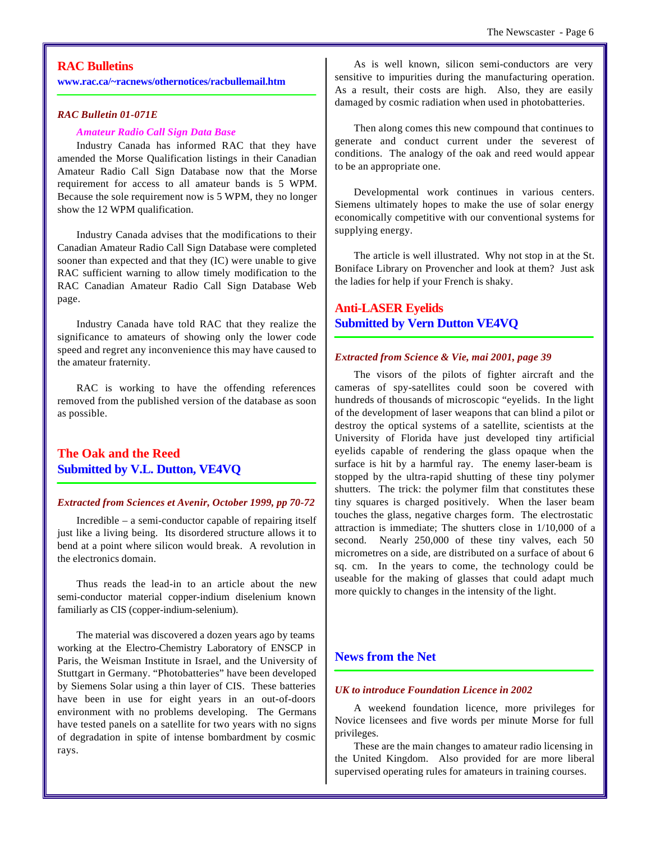## **RAC Bulletins**

**www.rac.ca/~racnews/othernotices/racbullemail.htm**

#### *RAC Bulletin 01-071E*

#### *Amateur Radio Call Sign Data Base*

Industry Canada has informed RAC that they have amended the Morse Qualification listings in their Canadian Amateur Radio Call Sign Database now that the Morse requirement for access to all amateur bands is 5 WPM. Because the sole requirement now is 5 WPM, they no longer show the 12 WPM qualification.

Industry Canada advises that the modifications to their Canadian Amateur Radio Call Sign Database were completed sooner than expected and that they (IC) were unable to give RAC sufficient warning to allow timely modification to the RAC Canadian Amateur Radio Call Sign Database Web page.

Industry Canada have told RAC that they realize the significance to amateurs of showing only the lower code speed and regret any inconvenience this may have caused to the amateur fraternity.

RAC is working to have the offending references removed from the published version of the database as soon as possible.

# **The Oak and the Reed Submitted by V.L. Dutton, VE4VQ**

#### *Extracted from Sciences et Avenir, October 1999, pp 70-72*

Incredible – a semi-conductor capable of repairing itself just like a living being. Its disordered structure allows it to bend at a point where silicon would break. A revolution in the electronics domain.

Thus reads the lead-in to an article about the new semi-conductor material copper-indium diselenium known familiarly as CIS (copper-indium-selenium).

The material was discovered a dozen years ago by teams working at the Electro-Chemistry Laboratory of ENSCP in Paris, the Weisman Institute in Israel, and the University of Stuttgart in Germany. "Photobatteries" have been developed by Siemens Solar using a thin layer of CIS. These batteries have been in use for eight years in an out-of-doors environment with no problems developing. The Germans have tested panels on a satellite for two years with no signs of degradation in spite of intense bombardment by cosmic rays.

As is well known, silicon semi-conductors are very sensitive to impurities during the manufacturing operation. As a result, their costs are high. Also, they are easily damaged by cosmic radiation when used in photobatteries.

Then along comes this new compound that continues to generate and conduct current under the severest of conditions. The analogy of the oak and reed would appear to be an appropriate one.

Developmental work continues in various centers. Siemens ultimately hopes to make the use of solar energy economically competitive with our conventional systems for supplying energy.

The article is well illustrated. Why not stop in at the St. Boniface Library on Provencher and look at them? Just ask the ladies for help if your French is shaky.

## **Anti-LASER Eyelids Submitted by Vern Dutton VE4VQ**

#### *Extracted from Science & Vie, mai 2001, page 39*

The visors of the pilots of fighter aircraft and the cameras of spy-satellites could soon be covered with hundreds of thousands of microscopic "eyelids. In the light of the development of laser weapons that can blind a pilot or destroy the optical systems of a satellite, scientists at the University of Florida have just developed tiny artificial eyelids capable of rendering the glass opaque when the surface is hit by a harmful ray. The enemy laser-beam is stopped by the ultra-rapid shutting of these tiny polymer shutters. The trick: the polymer film that constitutes these tiny squares is charged positively. When the laser beam touches the glass, negative charges form. The electrostatic attraction is immediate; The shutters close in 1/10,000 of a second. Nearly 250,000 of these tiny valves, each 50 micrometres on a side, are distributed on a surface of about 6 sq. cm. In the years to come, the technology could be useable for the making of glasses that could adapt much more quickly to changes in the intensity of the light.

# **News from the Net**

#### *UK to introduce Foundation Licence in 2002*

A weekend foundation licence, more privileges for Novice licensees and five words per minute Morse for full privileges.

These are the main changes to amateur radio licensing in the United Kingdom. Also provided for are more liberal supervised operating rules for amateurs in training courses.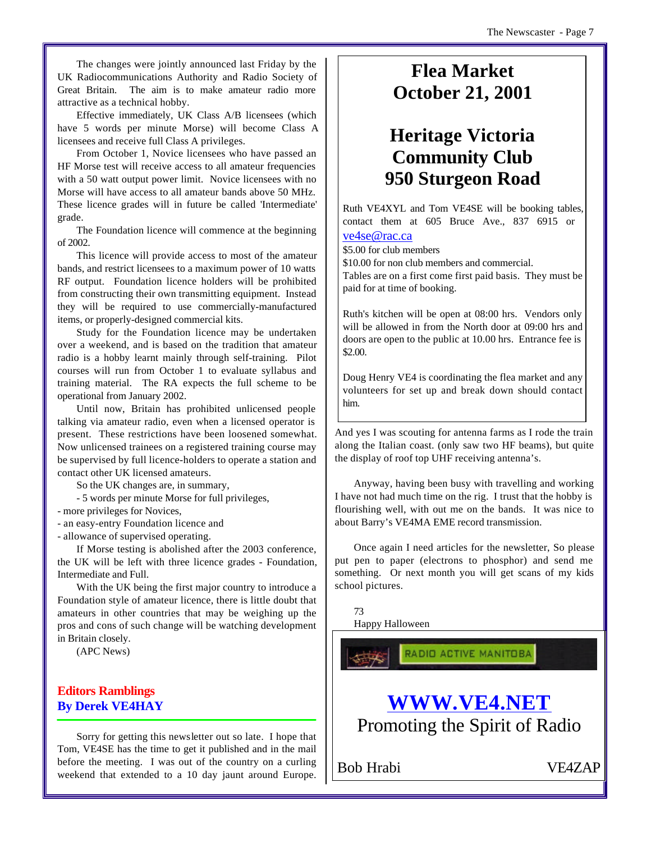The changes were jointly announced last Friday by the UK Radiocommunications Authority and Radio Society of Great Britain. The aim is to make amateur radio more attractive as a technical hobby.

Effective immediately, UK Class A/B licensees (which have 5 words per minute Morse) will become Class A licensees and receive full Class A privileges.

From October 1, Novice licensees who have passed an HF Morse test will receive access to all amateur frequencies with a 50 watt output power limit. Novice licensees with no Morse will have access to all amateur bands above 50 MHz. These licence grades will in future be called 'Intermediate' grade.

The Foundation licence will commence at the beginning of 2002.

This licence will provide access to most of the amateur bands, and restrict licensees to a maximum power of 10 watts RF output. Foundation licence holders will be prohibited from constructing their own transmitting equipment. Instead they will be required to use commercially-manufactured items, or properly-designed commercial kits.

Study for the Foundation licence may be undertaken over a weekend, and is based on the tradition that amateur radio is a hobby learnt mainly through self-training. Pilot courses will run from October 1 to evaluate syllabus and training material. The RA expects the full scheme to be operational from January 2002.

Until now, Britain has prohibited unlicensed people talking via amateur radio, even when a licensed operator is present. These restrictions have been loosened somewhat. Now unlicensed trainees on a registered training course may be supervised by full licence-holders to operate a station and contact other UK licensed amateurs.

So the UK changes are, in summary,

- 5 words per minute Morse for full privileges,

- more privileges for Novices,

- an easy-entry Foundation licence and

- allowance of supervised operating.

If Morse testing is abolished after the 2003 conference, the UK will be left with three licence grades - Foundation, Intermediate and Full.

With the UK being the first major country to introduce a Foundation style of amateur licence, there is little doubt that amateurs in other countries that may be weighing up the pros and cons of such change will be watching development in Britain closely.

(APC News)

# **Editors Ramblings By Derek VE4HAY**

Sorry for getting this newsletter out so late. I hope that Tom, VE4SE has the time to get it published and in the mail before the meeting. I was out of the country on a curling weekend that extended to a 10 day jaunt around Europe.

# **Flea Market October 21, 2001**

# **Heritage Victoria Community Club 950 Sturgeon Road**

Ruth VE4XYL and Tom VE4SE will be booking tables, contact them at 605 Bruce Ave., 837 6915 or

# ve4se@rac.ca

\$5.00 for club members

\$10.00 for non club members and commercial.

Tables are on a first come first paid basis. They must be paid for at time of booking.

Ruth's kitchen will be open at 08:00 hrs. Vendors only will be allowed in from the North door at 09:00 hrs and doors are open to the public at 10.00 hrs. Entrance fee is \$2.00.

Doug Henry VE4 is coordinating the flea market and any volunteers for set up and break down should contact him.

And yes I was scouting for antenna farms as I rode the train along the Italian coast. (only saw two HF beams), but quite the display of roof top UHF receiving antenna's.

Anyway, having been busy with travelling and working I have not had much time on the rig. I trust that the hobby is flourishing well, with out me on the bands. It was nice to about Barry's VE4MA EME record transmission.

Once again I need articles for the newsletter, So please put pen to paper (electrons to phosphor) and send me something. Or next month you will get scans of my kids school pictures.

73

Happy Halloween

RADIO ACTIVE MANITOBA

# **WWW.VE4.NET** Promoting the Spirit of Radio

Bob Hrabi VE4ZAP